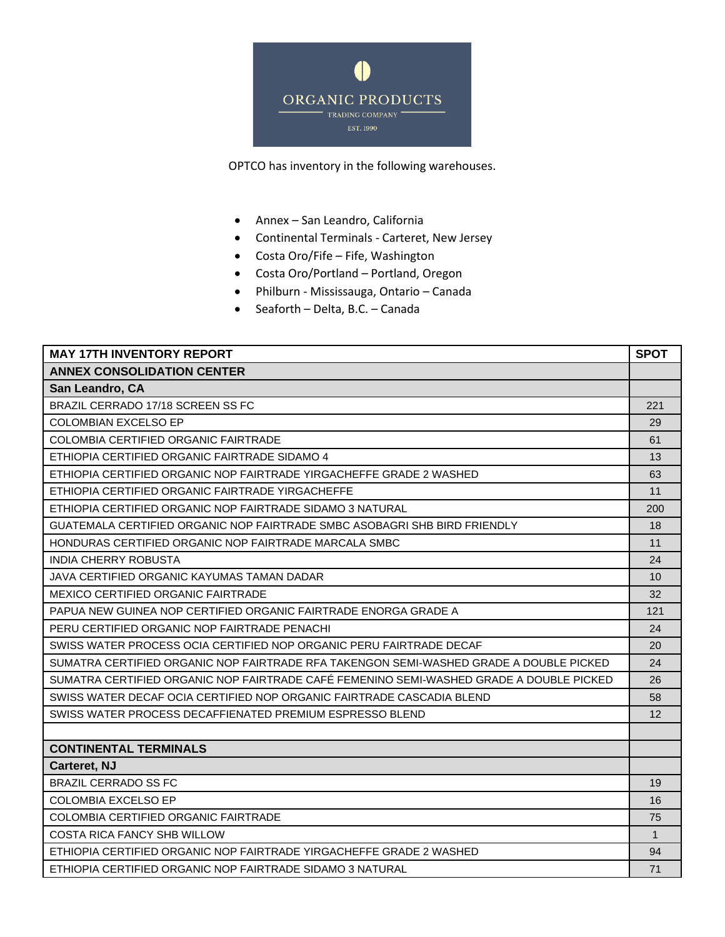

OPTCO has inventory in the following warehouses.

- Annex San Leandro, California
- Continental Terminals Carteret, New Jersey
- Costa Oro/Fife Fife, Washington
- Costa Oro/Portland Portland, Oregon
- Philburn Mississauga, Ontario Canada
- Seaforth Delta, B.C. Canada

| <b>MAY 17TH INVENTORY REPORT</b>                                                        | <b>SPOT</b>  |
|-----------------------------------------------------------------------------------------|--------------|
| <b>ANNEX CONSOLIDATION CENTER</b>                                                       |              |
| San Leandro, CA                                                                         |              |
| BRAZIL CERRADO 17/18 SCREEN SS FC                                                       | 221          |
| <b>COLOMBIAN EXCELSO EP</b>                                                             | 29           |
| <b>COLOMBIA CERTIFIED ORGANIC FAIRTRADE</b>                                             | 61           |
| ETHIOPIA CERTIFIED ORGANIC FAIRTRADE SIDAMO 4                                           | 13           |
| ETHIOPIA CERTIFIED ORGANIC NOP FAIRTRADE YIRGACHEFFE GRADE 2 WASHED                     | 63           |
| ETHIOPIA CERTIFIED ORGANIC FAIRTRADE YIRGACHEFFE                                        | 11           |
| ETHIOPIA CERTIFIED ORGANIC NOP FAIRTRADE SIDAMO 3 NATURAL                               | 200          |
| GUATEMALA CERTIFIED ORGANIC NOP FAIRTRADE SMBC ASOBAGRI SHB BIRD FRIENDLY               | 18           |
| HONDURAS CERTIFIED ORGANIC NOP FAIRTRADE MARCALA SMBC                                   | 11           |
| INDIA CHERRY ROBUSTA                                                                    | 24           |
| JAVA CERTIFIED ORGANIC KAYUMAS TAMAN DADAR                                              | 10           |
| MEXICO CERTIFIED ORGANIC FAIRTRADE                                                      | 32           |
| PAPUA NEW GUINEA NOP CERTIFIED ORGANIC FAIRTRADE ENORGA GRADE A                         | 121          |
| PERU CERTIFIED ORGANIC NOP FAIRTRADE PENACHI                                            | 24           |
| SWISS WATER PROCESS OCIA CERTIFIED NOP ORGANIC PERU FAIRTRADE DECAF                     | 20           |
| SUMATRA CERTIFIED ORGANIC NOP FAIRTRADE RFA TAKENGON SEMI-WASHED GRADE A DOUBLE PICKED  | 24           |
| SUMATRA CERTIFIED ORGANIC NOP FAIRTRADE CAFE FEMENINO SEMI-WASHED GRADE A DOUBLE PICKED | 26           |
| SWISS WATER DECAF OCIA CERTIFIED NOP ORGANIC FAIRTRADE CASCADIA BLEND                   | 58           |
| SWISS WATER PROCESS DECAFFIENATED PREMIUM ESPRESSO BLEND                                | 12           |
|                                                                                         |              |
| <b>CONTINENTAL TERMINALS</b>                                                            |              |
| Carteret, NJ                                                                            |              |
| <b>BRAZIL CERRADO SS FC</b>                                                             | 19           |
| <b>COLOMBIA EXCELSO EP</b>                                                              | 16           |
| COLOMBIA CERTIFIED ORGANIC FAIRTRADE                                                    | 75           |
| COSTA RICA FANCY SHB WILLOW                                                             | $\mathbf{1}$ |
| ETHIOPIA CERTIFIED ORGANIC NOP FAIRTRADE YIRGACHEFFE GRADE 2 WASHED                     | 94           |
| ETHIOPIA CERTIFIED ORGANIC NOP FAIRTRADE SIDAMO 3 NATURAL                               | 71           |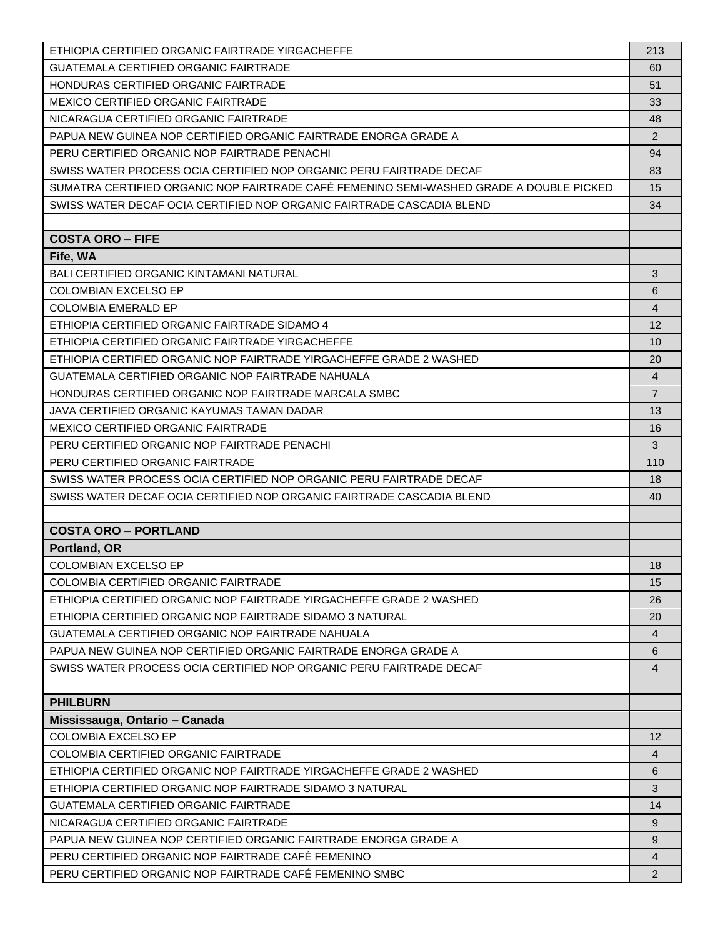| ETHIOPIA CERTIFIED ORGANIC FAIRTRADE YIRGACHEFFE                                        | 213               |
|-----------------------------------------------------------------------------------------|-------------------|
| <b>GUATEMALA CERTIFIED ORGANIC FAIRTRADE</b>                                            | 60                |
| HONDURAS CERTIFIED ORGANIC FAIRTRADE                                                    | 51                |
| <b>MEXICO CERTIFIED ORGANIC FAIRTRADE</b>                                               | 33                |
| NICARAGUA CERTIFIED ORGANIC FAIRTRADE                                                   | 48                |
| PAPUA NEW GUINEA NOP CERTIFIED ORGANIC FAIRTRADE ENORGA GRADE A                         | $\overline{2}$    |
| PERU CERTIFIED ORGANIC NOP FAIRTRADE PENACHI                                            | 94                |
| SWISS WATER PROCESS OCIA CERTIFIED NOP ORGANIC PERU FAIRTRADE DECAF                     | 83                |
| SUMATRA CERTIFIED ORGANIC NOP FAIRTRADE CAFÉ FEMENINO SEMI-WASHED GRADE A DOUBLE PICKED | 15                |
| SWISS WATER DECAF OCIA CERTIFIED NOP ORGANIC FAIRTRADE CASCADIA BLEND                   | 34                |
|                                                                                         |                   |
| <b>COSTA ORO - FIFE</b>                                                                 |                   |
| Fife, WA                                                                                |                   |
| BALI CERTIFIED ORGANIC KINTAMANI NATURAL                                                | 3                 |
| <b>COLOMBIAN EXCELSO EP</b>                                                             | 6                 |
| <b>COLOMBIA EMERALD EP</b>                                                              | $\overline{4}$    |
| ETHIOPIA CERTIFIED ORGANIC FAIRTRADE SIDAMO 4                                           | 12                |
| ETHIOPIA CERTIFIED ORGANIC FAIRTRADE YIRGACHEFFE                                        | 10                |
| ETHIOPIA CERTIFIED ORGANIC NOP FAIRTRADE YIRGACHEFFE GRADE 2 WASHED                     | 20                |
| GUATEMALA CERTIFIED ORGANIC NOP FAIRTRADE NAHUALA                                       | 4                 |
| HONDURAS CERTIFIED ORGANIC NOP FAIRTRADE MARCALA SMBC                                   | $\overline{7}$    |
| JAVA CERTIFIED ORGANIC KAYUMAS TAMAN DADAR                                              | 13                |
| <b>MEXICO CERTIFIED ORGANIC FAIRTRADE</b>                                               | 16                |
| PERU CERTIFIED ORGANIC NOP FAIRTRADE PENACHI                                            | 3                 |
| PERU CERTIFIED ORGANIC FAIRTRADE                                                        | 110               |
| SWISS WATER PROCESS OCIA CERTIFIED NOP ORGANIC PERU FAIRTRADE DECAF                     | 18                |
| SWISS WATER DECAF OCIA CERTIFIED NOP ORGANIC FAIRTRADE CASCADIA BLEND                   | 40                |
|                                                                                         |                   |
| <b>COSTA ORO - PORTLAND</b>                                                             |                   |
| Portland, OR<br><b>COLOMBIAN EXCELSO EP</b>                                             |                   |
| <b>COLOMBIA CERTIFIED ORGANIC FAIRTRADE</b>                                             | 18<br>15          |
| ETHIOPIA CERTIFIED ORGANIC NOP FAIRTRADE YIRGACHEFFE GRADE 2 WASHED                     | 26                |
| ETHIOPIA CERTIFIED ORGANIC NOP FAIRTRADE SIDAMO 3 NATURAL                               | 20                |
| <b>GUATEMALA CERTIFIED ORGANIC NOP FAIRTRADE NAHUALA</b>                                | $\overline{4}$    |
| PAPUA NEW GUINEA NOP CERTIFIED ORGANIC FAIRTRADE ENORGA GRADE A                         | 6                 |
| SWISS WATER PROCESS OCIA CERTIFIED NOP ORGANIC PERU FAIRTRADE DECAF                     | 4                 |
|                                                                                         |                   |
| <b>PHILBURN</b>                                                                         |                   |
| Mississauga, Ontario - Canada                                                           |                   |
| <b>COLOMBIA EXCELSO EP</b>                                                              | $12 \overline{ }$ |
| <b>COLOMBIA CERTIFIED ORGANIC FAIRTRADE</b>                                             | $\overline{4}$    |
| ETHIOPIA CERTIFIED ORGANIC NOP FAIRTRADE YIRGACHEFFE GRADE 2 WASHED                     | 6                 |
| ETHIOPIA CERTIFIED ORGANIC NOP FAIRTRADE SIDAMO 3 NATURAL                               | 3                 |
| <b>GUATEMALA CERTIFIED ORGANIC FAIRTRADE</b>                                            | 14                |
| NICARAGUA CERTIFIED ORGANIC FAIRTRADE                                                   | 9                 |
| PAPUA NEW GUINEA NOP CERTIFIED ORGANIC FAIRTRADE ENORGA GRADE A                         | 9                 |
| PERU CERTIFIED ORGANIC NOP FAIRTRADE CAFÉ FEMENINO                                      | $\overline{4}$    |
| PERU CERTIFIED ORGANIC NOP FAIRTRADE CAFÉ FEMENINO SMBC                                 | $\overline{2}$    |
|                                                                                         |                   |